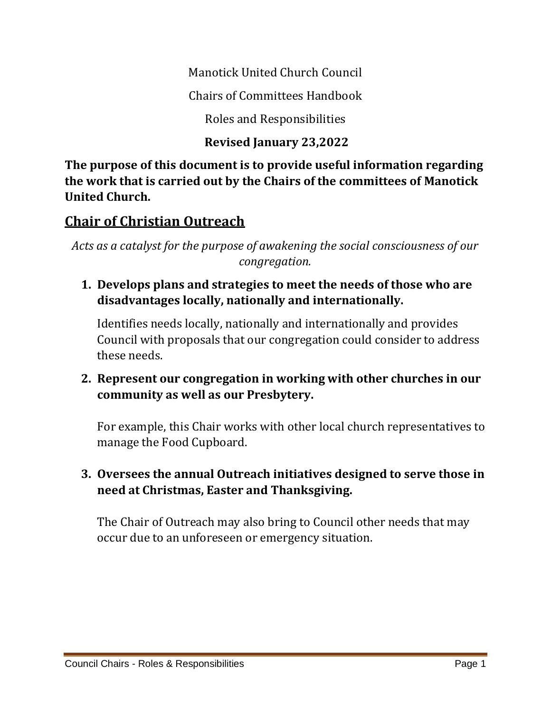Manotick United Church Council

Chairs of Committees Handbook

Roles and Responsibilities

## **Revised January 23,2022**

**The purpose of this document is to provide useful information regarding the work that is carried out by the Chairs of the committees of Manotick United Church.**

# **Chair of Christian Outreach**

*Acts as a catalyst for the purpose of awakening the social consciousness of our congregation.*

**1. Develops plans and strategies to meet the needs of those who are disadvantages locally, nationally and internationally.**

Identifies needs locally, nationally and internationally and provides Council with proposals that our congregation could consider to address these needs.

**2. Represent our congregation in working with other churches in our community as well as our Presbytery.**

For example, this Chair works with other local church representatives to manage the Food Cupboard.

## **3. Oversees the annual Outreach initiatives designed to serve those in need at Christmas, Easter and Thanksgiving.**

The Chair of Outreach may also bring to Council other needs that may occur due to an unforeseen or emergency situation.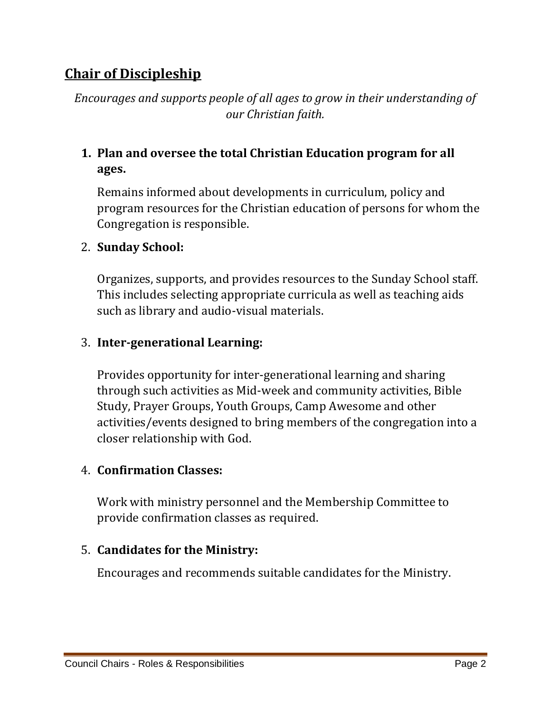# **Chair of Discipleship**

*Encourages and supports people of all ages to grow in their understanding of our Christian faith.*

## **1. Plan and oversee the total Christian Education program for all ages.**

Remains informed about developments in curriculum, policy and program resources for the Christian education of persons for whom the Congregation is responsible.

### 2. **Sunday School:**

Organizes, supports, and provides resources to the Sunday School staff. This includes selecting appropriate curricula as well as teaching aids such as library and audio-visual materials.

## 3. **Inter-generational Learning:**

Provides opportunity for inter-generational learning and sharing through such activities as Mid-week and community activities, Bible Study, Prayer Groups, Youth Groups, Camp Awesome and other activities/events designed to bring members of the congregation into a closer relationship with God.

### 4. **Confirmation Classes:**

Work with ministry personnel and the Membership Committee to provide confirmation classes as required.

### 5. **Candidates for the Ministry:**

Encourages and recommends suitable candidates for the Ministry.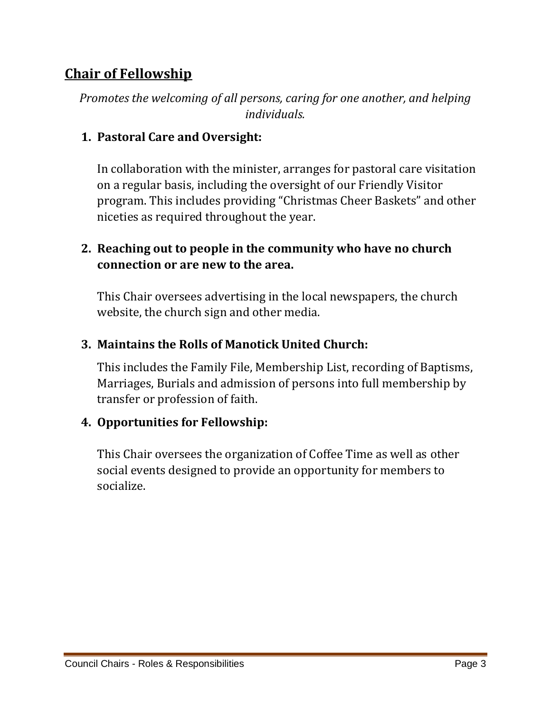# **Chair of Fellowship**

*Promotes the welcoming of all persons, caring for one another, and helping individuals.*

## **1. Pastoral Care and Oversight:**

In collaboration with the minister, arranges for pastoral care visitation on a regular basis, including the oversight of our Friendly Visitor program. This includes providing "Christmas Cheer Baskets" and other niceties as required throughout the year.

## **2. Reaching out to people in the community who have no church connection or are new to the area.**

This Chair oversees advertising in the local newspapers, the church website, the church sign and other media.

## **3. Maintains the Rolls of Manotick United Church:**

This includes the Family File, Membership List, recording of Baptisms, Marriages, Burials and admission of persons into full membership by transfer or profession of faith.

### **4. Opportunities for Fellowship:**

This Chair oversees the organization of Coffee Time as well as other social events designed to provide an opportunity for members to socialize.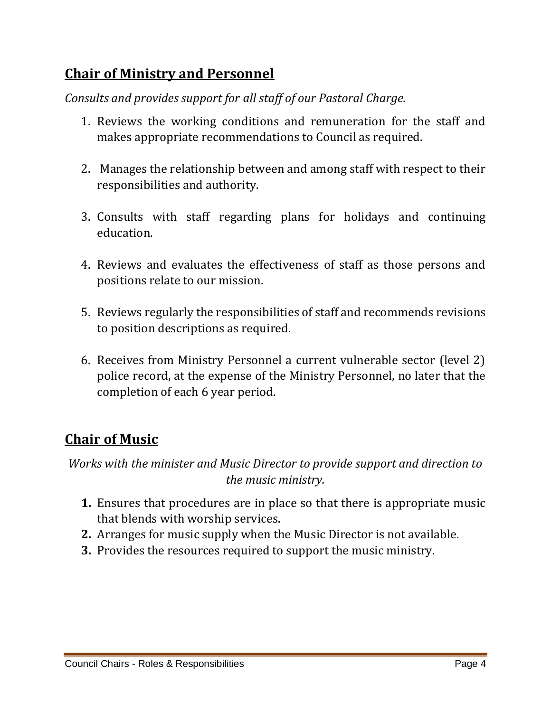# **Chair of Ministry and Personnel**

*Consults and provides support for all staff of our Pastoral Charge.*

- 1. Reviews the working conditions and remuneration for the staff and makes appropriate recommendations to Council as required.
- 2. Manages the relationship between and among staff with respect to their responsibilities and authority.
- 3. Consults with staff regarding plans for holidays and continuing education.
- 4. Reviews and evaluates the effectiveness of staff as those persons and positions relate to our mission.
- 5. Reviews regularly the responsibilities of staff and recommends revisions to position descriptions as required.
- 6. Receives from Ministry Personnel a current vulnerable sector (level 2) police record, at the expense of the Ministry Personnel, no later that the completion of each 6 year period.

# **Chair of Music**

*Works with the minister and Music Director to provide support and direction to the music ministry.*

- **1.** Ensures that procedures are in place so that there is appropriate music that blends with worship services.
- **2.** Arranges for music supply when the Music Director is not available.
- **3.** Provides the resources required to support the music ministry.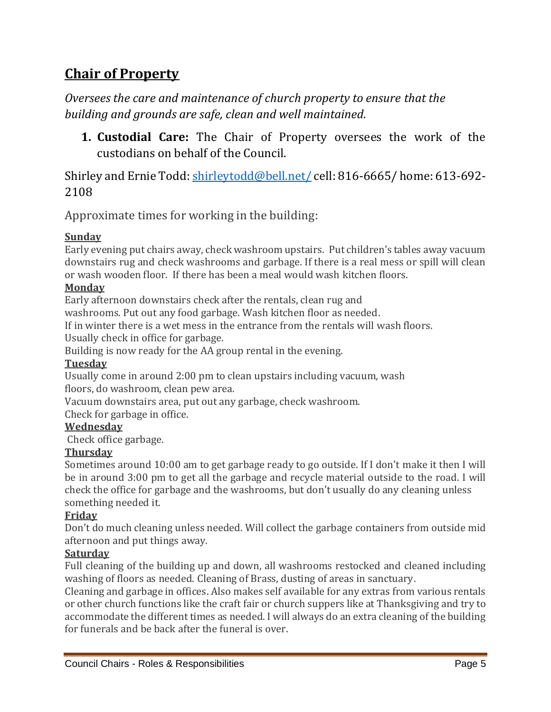## **Chair of Property**

*Oversees the care and maintenance of church property to ensure that the building and grounds are safe, clean and well maintained.* 

**1. Custodial Care:** The Chair of Property oversees the work of the custodians on behalf of the Council.

Shirley and Ernie Todd: [shirleytodd@bell.net/](mailto:shirleytodd@bell.net/) cell: 816-6665/ home: 613-692-2108

Approximate times for working in the building:

### **Sunday**

Early evening put chairs away, check washroom upstairs. Put children's tables away vacuum downstairs rug and check washrooms and garbage. If there is a real mess or spill will clean or wash wooden floor. If there has been a meal would wash kitchen floors.

#### **Monday**

Early afternoon downstairs check after the rentals, clean rug and

washrooms. Put out any food garbage. Wash kitchen floor as needed.

If in winter there is a wet mess in the entrance from the rentals will wash floors.

Usually check in office for garbage.

Building is now ready for the AA group rental in the evening.

#### **Tuesday**

Usually come in around 2:00 pm to clean upstairs including vacuum, wash floors, do washroom, clean pew area.

Vacuum downstairs area, put out any garbage, check washroom.

Check for garbage in office.

#### **Wednesday**

Check office garbage.

#### **Thursday**

Sometimes around 10:00 am to get garbage ready to go outside. If I don't make it then I will be in around 3:00 pm to get all the garbage and recycle material outside to the road. I will check the office for garbage and the washrooms, but don't usually do any cleaning unless something needed it.

#### **Friday**

Don't do much cleaning unless needed. Will collect the garbage containers from outside mid afternoon and put things away.

#### **Saturday**

Full cleaning of the building up and down, all washrooms restocked and cleaned including washing of floors as needed. Cleaning of Brass, dusting of areas in sanctuary.

Cleaning and garbage in offices. Also makes self available for any extras from various rentals or other church functions like the craft fair or church suppers like at Thanksgiving and try to accommodate the different times as needed. I will always do an extra cleaning of the building for funerals and be back after the funeral is over.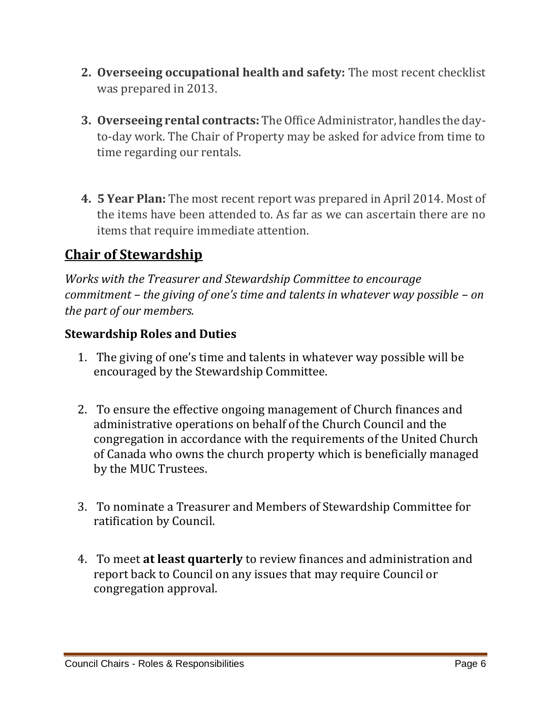- **2. Overseeing occupational health and safety:** The most recent checklist was prepared in 2013.
- **3. Overseeing rental contracts:** The Office Administrator, handles the dayto-day work. The Chair of Property may be asked for advice from time to time regarding our rentals.
- **4. 5 Year Plan:** The most recent report was prepared in April 2014. Most of the items have been attended to. As far as we can ascertain there are no items that require immediate attention.

## **Chair of Stewardship**

*Works with the Treasurer and Stewardship Committee to encourage commitment – the giving of one's time and talents in whatever way possible – on the part of our members.*

## **Stewardship Roles and Duties**

- 1. The giving of one's time and talents in whatever way possible will be encouraged by the Stewardship Committee.
- 2. To ensure the effective ongoing management of Church finances and administrative operations on behalf of the Church Council and the congregation in accordance with the requirements of the United Church of Canada who owns the church property which is beneficially managed by the MUC Trustees.
- 3. To nominate a Treasurer and Members of Stewardship Committee for ratification by Council.
- 4. To meet **at least quarterly** to review finances and administration and report back to Council on any issues that may require Council or congregation approval.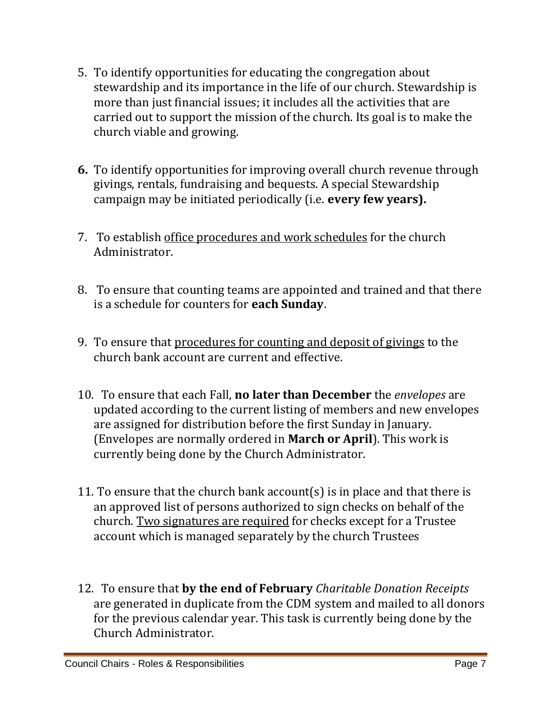- 5. To identify opportunities for educating the congregation about stewardship and its importance in the life of our church. Stewardship is more than just financial issues; it includes all the activities that are carried out to support the mission of the church. Its goal is to make the church viable and growing.
- **6.** To identify opportunities for improving overall church revenue through givings, rentals, fundraising and bequests. A special Stewardship campaign may be initiated periodically (i.e. **every few years).**
- 7. To establish office procedures and work schedules for the church Administrator.
- 8. To ensure that counting teams are appointed and trained and that there is a schedule for counters for **each Sunday**.
- 9. To ensure that procedures for counting and deposit of givings to the church bank account are current and effective.
- 10. To ensure that each Fall, **no later than December** the *envelopes* are updated according to the current listing of members and new envelopes are assigned for distribution before the first Sunday in January. (Envelopes are normally ordered in **March or April**). This work is currently being done by the Church Administrator.
- 11. To ensure that the church bank account(s) is in place and that there is an approved list of persons authorized to sign checks on behalf of the church. Two signatures are required for checks except for a Trustee account which is managed separately by the church Trustees
- 12. To ensure that **by the end of February** *Charitable Donation Receipts* are generated in duplicate from the CDM system and mailed to all donors for the previous calendar year. This task is currently being done by the Church Administrator.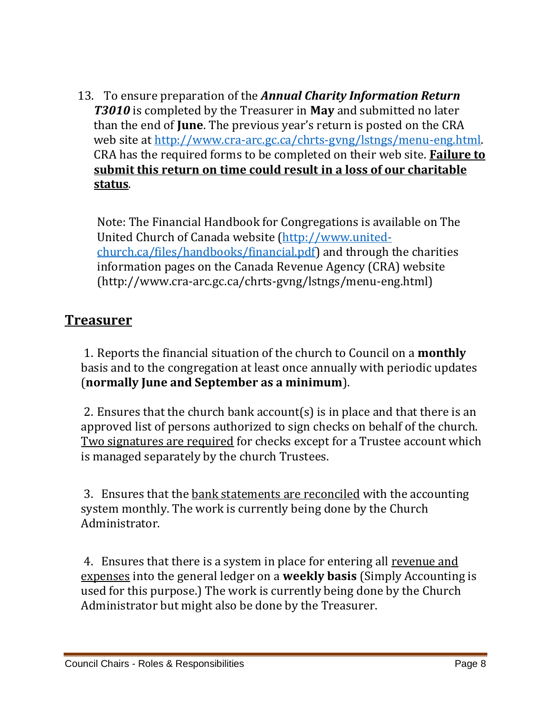13. To ensure preparation of the *Annual Charity Information Return T3010* is completed by the Treasurer in **May** and submitted no later than the end of **June**. The previous year's return is posted on the CRA web site at [http://www.cra-arc.gc.ca/chrts-gvng/lstngs/menu-eng.html.](http://www.cra-arc.gc.ca/chrts-gvng/lstngs/menu-eng.html) CRA has the required forms to be completed on their web site. **Failure to submit this return on time could result in a loss of our charitable status**.

Note: The Financial Handbook for Congregations is available on The United Church of Canada website [\(http://www.united](http://www.united-church.ca/files/handbooks/financial.pdf)[church.ca/files/handbooks/financial.pdf\)](http://www.united-church.ca/files/handbooks/financial.pdf) and through the charities information pages on the Canada Revenue Agency (CRA) website (http://www.cra-arc.gc.ca/chrts-gvng/lstngs/menu-eng.html)

## **Treasurer**

1. Reports the financial situation of the church to Council on a **monthly** basis and to the congregation at least once annually with periodic updates (**normally June and September as a minimum**).

2. Ensures that the church bank account(s) is in place and that there is an approved list of persons authorized to sign checks on behalf of the church. Two signatures are required for checks except for a Trustee account which is managed separately by the church Trustees.

3. Ensures that the bank statements are reconciled with the accounting system monthly. The work is currently being done by the Church Administrator.

4. Ensures that there is a system in place for entering all revenue and expenses into the general ledger on a **weekly basis** (Simply Accounting is used for this purpose.) The work is currently being done by the Church Administrator but might also be done by the Treasurer.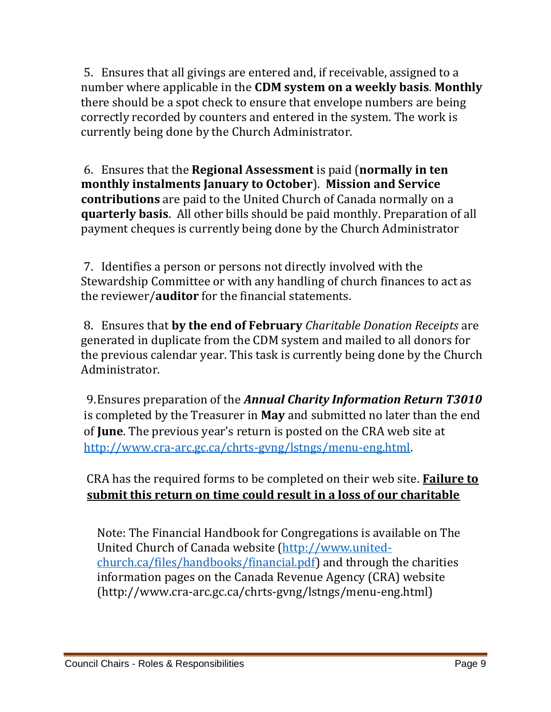5. Ensures that all givings are entered and, if receivable, assigned to a number where applicable in the **CDM system on a weekly basis**. **Monthly** there should be a spot check to ensure that envelope numbers are being correctly recorded by counters and entered in the system. The work is currently being done by the Church Administrator.

6. Ensures that the **Regional Assessment** is paid (**normally in ten monthly instalments January to October**). **Mission and Service contributions** are paid to the United Church of Canada normally on a **quarterly basis**. All other bills should be paid monthly. Preparation of all payment cheques is currently being done by the Church Administrator

7. Identifies a person or persons not directly involved with the Stewardship Committee or with any handling of church finances to act as the reviewer/**auditor** for the financial statements.

8. Ensures that **by the end of February** *Charitable Donation Receipts* are generated in duplicate from the CDM system and mailed to all donors for the previous calendar year. This task is currently being done by the Church Administrator.

9.Ensures preparation of the *Annual Charity Information Return T3010* is completed by the Treasurer in **May** and submitted no later than the end of **June**. The previous year's return is posted on the CRA web site at [http://www.cra-arc.gc.ca/chrts-gvng/lstngs/menu-eng.html.](http://www.cra-arc.gc.ca/chrts-gvng/lstngs/menu-eng.html)

CRA has the required forms to be completed on their web site. **Failure to submit this return on time could result in a loss of our charitable**

Note: The Financial Handbook for Congregations is available on The United Church of Canada website [\(http://www.united](http://www.united-church.ca/files/handbooks/financial.pdf)[church.ca/files/handbooks/financial.pdf\)](http://www.united-church.ca/files/handbooks/financial.pdf) and through the charities information pages on the Canada Revenue Agency (CRA) website (http://www.cra-arc.gc.ca/chrts-gvng/lstngs/menu-eng.html)